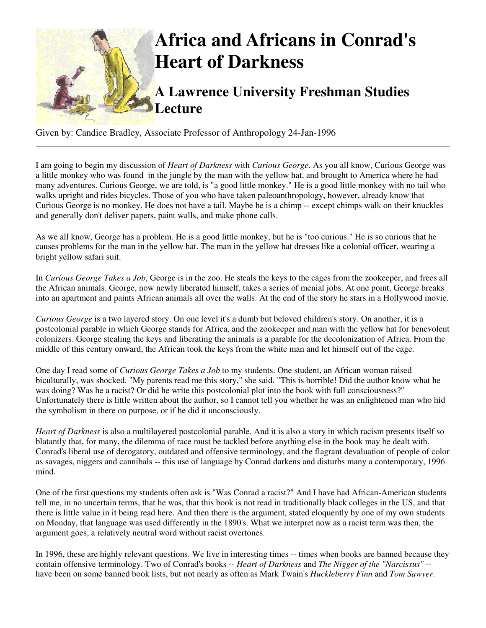

Given by: Candice Bradley, Associate Professor of Anthropology 24-Jan-1996

I am going to begin my discussion of *Heart of Darkness* with *Curious George*. As you all know, Curious George was a little monkey who was found in the jungle by the man with the yellow hat, and brought to America where he had many adventures. Curious George, we are told, is "a good little monkey." He is a good little monkey with no tail who walks upright and rides bicycles. Those of you who have taken paleoanthropology, however, already know that Curious George is no monkey. He does not have a tail. Maybe he is a chimp -- except chimps walk on their knuckles and generally don't deliver papers, paint walls, and make phone calls.

As we all know, George has a problem. He is a good little monkey, but he is "too curious." He is so curious that he causes problems for the man in the yellow hat. The man in the yellow hat dresses like a colonial officer, wearing a bright yellow safari suit.

In *Curious George Takes a Job*, George is in the zoo. He steals the keys to the cages from the zookeeper, and frees all the African animals. George, now newly liberated himself, takes a series of menial jobs. At one point, George breaks into an apartment and paints African animals all over the walls. At the end of the story he stars in a Hollywood movie.

*Curious George* is a two layered story. On one level it's a dumb but beloved children's story. On another, it is a postcolonial parable in which George stands for Africa, and the zookeeper and man with the yellow hat for benevolent colonizers. George stealing the keys and liberating the animals is a parable for the decolonization of Africa. From the middle of this century onward, the African took the keys from the white man and let himself out of the cage.

One day I read some of *Curious George Takes a Job* to my students. One student, an African woman raised biculturally, was shocked. "My parents read me this story," she said. "This is horrible! Did the author know what he was doing? Was he a racist? Or did he write this postcolonial plot into the book with full consciousness?" Unfortunately there is little written about the author, so I cannot tell you whether he was an enlightened man who hid the symbolism in there on purpose, or if he did it unconsciously.

*Heart of Darkness* is also a multilayered postcolonial parable. And it is also a story in which racism presents itself so blatantly that, for many, the dilemma of race must be tackled before anything else in the book may be dealt with. Conrad's liberal use of derogatory, outdated and offensive terminology, and the flagrant devaluation of people of color as savages, niggers and cannibals -- this use of language by Conrad darkens and disturbs many a contemporary, 1996 mind.

One of the first questions my students often ask is "Was Conrad a racist?" And I have had African-American students tell me, in no uncertain terms, that he was, that this book is not read in traditionally black colleges in the US, and that there is little value in it being read here. And then there is the argument, stated eloquently by one of my own students on Monday, that language was used differently in the 1890's. What we interpret now as a racist term was then, the argument goes, a relatively neutral word without racist overtones.

In 1996, these are highly relevant questions. We live in interesting times -- times when books are banned because they contain offensive terminology. Two of Conrad's books -- *Heart of Darkness* and *The Nigger of the "Narcissus"* - have been on some banned book lists, but not nearly as often as Mark Twain's *Huckleberry Finn* and *Tom Sawyer*.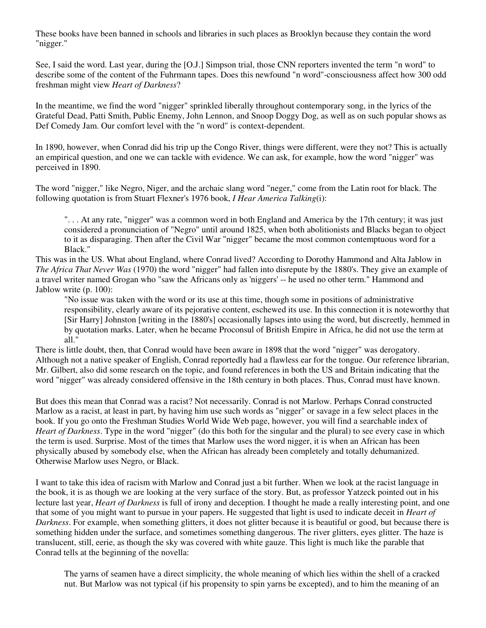These books have been banned in schools and libraries in such places as Brooklyn because they contain the word "nigger."

See, I said the word. Last year, during the [O.J.] Simpson trial, those CNN reporters invented the term "n word" to describe some of the content of the Fuhrmann tapes. Does this newfound "n word"-consciousness affect how 300 odd freshman might view *Heart of Darkness*?

In the meantime, we find the word "nigger" sprinkled liberally throughout contemporary song, in the lyrics of the Grateful Dead, Patti Smith, Public Enemy, John Lennon, and Snoop Doggy Dog, as well as on such popular shows as Def Comedy Jam. Our comfort level with the "n word" is context-dependent.

In 1890, however, when Conrad did his trip up the Congo River, things were different, were they not? This is actually an empirical question, and one we can tackle with evidence. We can ask, for example, how the word "nigger" was perceived in 1890.

The word "nigger," like Negro, Niger, and the archaic slang word "neger," come from the Latin root for black. The following quotation is from Stuart Flexner's 1976 book, *I Hear America Talking*(i):

". . . At any rate, "nigger" was a common word in both England and America by the 17th century; it was just considered a pronunciation of "Negro" until around 1825, when both abolitionists and Blacks began to object to it as disparaging. Then after the Civil War "nigger" became the most common contemptuous word for a Black."

This was in the US. What about England, where Conrad lived? According to Dorothy Hammond and Alta Jablow in *The Africa That Never Was* (1970) the word "nigger" had fallen into disrepute by the 1880's. They give an example of a travel writer named Grogan who "saw the Africans only as 'niggers' -- he used no other term." Hammond and Jablow write (p. 100):

"No issue was taken with the word or its use at this time, though some in positions of administrative responsibility, clearly aware of its pejorative content, eschewed its use. In this connection it is noteworthy that [Sir Harry] Johnston [writing in the 1880's] occasionally lapses into using the word, but discreetly, hemmed in by quotation marks. Later, when he became Proconsul of British Empire in Africa, he did not use the term at all."

There is little doubt, then, that Conrad would have been aware in 1898 that the word "nigger" was derogatory. Although not a native speaker of English, Conrad reportedly had a flawless ear for the tongue. Our reference librarian, Mr. Gilbert, also did some research on the topic, and found references in both the US and Britain indicating that the word "nigger" was already considered offensive in the 18th century in both places. Thus, Conrad must have known.

But does this mean that Conrad was a racist? Not necessarily. Conrad is not Marlow. Perhaps Conrad constructed Marlow as a racist, at least in part, by having him use such words as "nigger" or savage in a few select places in the book. If you go onto the Freshman Studies World Wide Web page, however, you will find a searchable index of *Heart of Darkness*. Type in the word "nigger" (do this both for the singular and the plural) to see every case in which the term is used. Surprise. Most of the times that Marlow uses the word nigger, it is when an African has been physically abused by somebody else, when the African has already been completely and totally dehumanized. Otherwise Marlow uses Negro, or Black.

I want to take this idea of racism with Marlow and Conrad just a bit further. When we look at the racist language in the book, it is as though we are looking at the very surface of the story. But, as professor Yatzeck pointed out in his lecture last year, *Heart of Darkness* is full of irony and deception. I thought he made a really interesting point, and one that some of you might want to pursue in your papers. He suggested that light is used to indicate deceit in *Heart of Darkness*. For example, when something glitters, it does not glitter because it is beautiful or good, but because there is something hidden under the surface, and sometimes something dangerous. The river glitters, eyes glitter. The haze is translucent, still, eerie, as though the sky was covered with white gauze. This light is much like the parable that Conrad tells at the beginning of the novella:

The yarns of seamen have a direct simplicity, the whole meaning of which lies within the shell of a cracked nut. But Marlow was not typical (if his propensity to spin yarns be excepted), and to him the meaning of an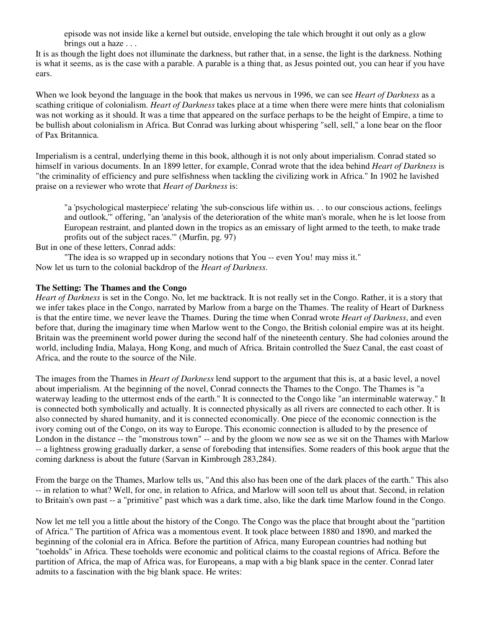episode was not inside like a kernel but outside, enveloping the tale which brought it out only as a glow brings out a haze . . .

It is as though the light does not illuminate the darkness, but rather that, in a sense, the light is the darkness. Nothing is what it seems, as is the case with a parable. A parable is a thing that, as Jesus pointed out, you can hear if you have ears.

When we look beyond the language in the book that makes us nervous in 1996, we can see *Heart of Darkness* as a scathing critique of colonialism. *Heart of Darkness* takes place at a time when there were mere hints that colonialism was not working as it should. It was a time that appeared on the surface perhaps to be the height of Empire, a time to be bullish about colonialism in Africa. But Conrad was lurking about whispering "sell, sell," a lone bear on the floor of Pax Britannica.

Imperialism is a central, underlying theme in this book, although it is not only about imperialism. Conrad stated so himself in various documents. In an 1899 letter, for example, Conrad wrote that the idea behind *Heart of Darkness* is "the criminality of efficiency and pure selfishness when tackling the civilizing work in Africa." In 1902 he lavished praise on a reviewer who wrote that *Heart of Darkness* is:

"a 'psychological masterpiece' relating 'the sub-conscious life within us. . . to our conscious actions, feelings and outlook,'" offering, "an 'analysis of the deterioration of the white man's morale, when he is let loose from European restraint, and planted down in the tropics as an emissary of light armed to the teeth, to make trade profits out of the subject races.'" (Murfin, pg. 97)

But in one of these letters, Conrad adds:

"The idea is so wrapped up in secondary notions that You -- even You! may miss it." Now let us turn to the colonial backdrop of the *Heart of Darkness*.

## **The Setting: The Thames and the Congo**

*Heart of Darkness* is set in the Congo. No, let me backtrack. It is not really set in the Congo. Rather, it is a story that we infer takes place in the Congo, narrated by Marlow from a barge on the Thames. The reality of Heart of Darkness is that the entire time, we never leave the Thames. During the time when Conrad wrote *Heart of Darkness*, and even before that, during the imaginary time when Marlow went to the Congo, the British colonial empire was at its height. Britain was the preeminent world power during the second half of the nineteenth century. She had colonies around the world, including India, Malaya, Hong Kong, and much of Africa. Britain controlled the Suez Canal, the east coast of Africa, and the route to the source of the Nile.

The images from the Thames in *Heart of Darkness* lend support to the argument that this is, at a basic level, a novel about imperialism. At the beginning of the novel, Conrad connects the Thames to the Congo. The Thames is "a waterway leading to the uttermost ends of the earth." It is connected to the Congo like "an interminable waterway." It is connected both symbolically and actually. It is connected physically as all rivers are connected to each other. It is also connected by shared humanity, and it is connected economically. One piece of the economic connection is the ivory coming out of the Congo, on its way to Europe. This economic connection is alluded to by the presence of London in the distance -- the "monstrous town" -- and by the gloom we now see as we sit on the Thames with Marlow -- a lightness growing gradually darker, a sense of foreboding that intensifies. Some readers of this book argue that the coming darkness is about the future (Sarvan in Kimbrough 283,284).

From the barge on the Thames, Marlow tells us, "And this also has been one of the dark places of the earth." This also -- in relation to what? Well, for one, in relation to Africa, and Marlow will soon tell us about that. Second, in relation to Britain's own past -- a "primitive" past which was a dark time, also, like the dark time Marlow found in the Congo.

Now let me tell you a little about the history of the Congo. The Congo was the place that brought about the "partition of Africa." The partition of Africa was a momentous event. It took place between 1880 and 1890, and marked the beginning of the colonial era in Africa. Before the partition of Africa, many European countries had nothing but "toeholds" in Africa. These toeholds were economic and political claims to the coastal regions of Africa. Before the partition of Africa, the map of Africa was, for Europeans, a map with a big blank space in the center. Conrad later admits to a fascination with the big blank space. He writes: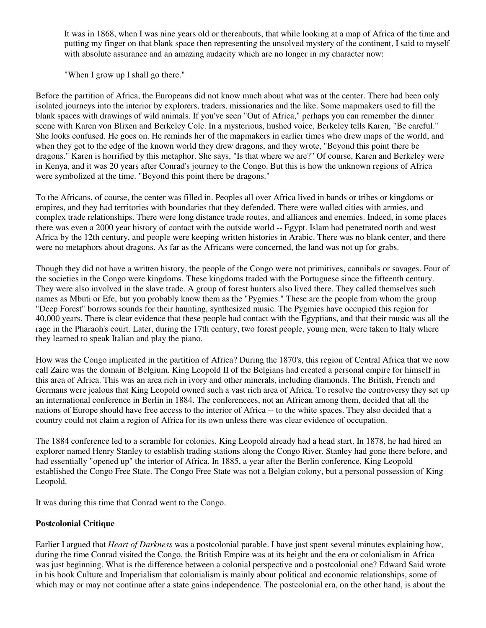It was in 1868, when I was nine years old or thereabouts, that while looking at a map of Africa of the time and putting my finger on that blank space then representing the unsolved mystery of the continent, I said to myself with absolute assurance and an amazing audacity which are no longer in my character now:

"When I grow up I shall go there."

Before the partition of Africa, the Europeans did not know much about what was at the center. There had been only isolated journeys into the interior by explorers, traders, missionaries and the like. Some mapmakers used to fill the blank spaces with drawings of wild animals. If you've seen "Out of Africa," perhaps you can remember the dinner scene with Karen von Blixen and Berkeley Cole. In a mysterious, hushed voice, Berkeley tells Karen, "Be careful." She looks confused. He goes on. He reminds her of the mapmakers in earlier times who drew maps of the world, and when they got to the edge of the known world they drew dragons, and they wrote, "Beyond this point there be dragons." Karen is horrified by this metaphor. She says, "Is that where we are?" Of course, Karen and Berkeley were in Kenya, and it was 20 years after Conrad's journey to the Congo. But this is how the unknown regions of Africa were symbolized at the time. "Beyond this point there be dragons."

To the Africans, of course, the center was filled in. Peoples all over Africa lived in bands or tribes or kingdoms or empires, and they had territories with boundaries that they defended. There were walled cities with armies, and complex trade relationships. There were long distance trade routes, and alliances and enemies. Indeed, in some places there was even a 2000 year history of contact with the outside world -- Egypt. Islam had penetrated north and west Africa by the 12th century, and people were keeping written histories in Arabic. There was no blank center, and there were no metaphors about dragons. As far as the Africans were concerned, the land was not up for grabs.

Though they did not have a written history, the people of the Congo were not primitives, cannibals or savages. Four of the societies in the Congo were kingdoms. These kingdoms traded with the Portuguese since the fifteenth century. They were also involved in the slave trade. A group of forest hunters also lived there. They called themselves such names as Mbuti or Efe, but you probably know them as the "Pygmies." These are the people from whom the group "Deep Forest" borrows sounds for their haunting, synthesized music. The Pygmies have occupied this region for 40,000 years. There is clear evidence that these people had contact with the Egyptians, and that their music was all the rage in the Pharaoh's court. Later, during the 17th century, two forest people, young men, were taken to Italy where they learned to speak Italian and play the piano.

How was the Congo implicated in the partition of Africa? During the 1870's, this region of Central Africa that we now call Zaire was the domain of Belgium. King Leopold II of the Belgians had created a personal empire for himself in this area of Africa. This was an area rich in ivory and other minerals, including diamonds. The British, French and Germans were jealous that King Leopold owned such a vast rich area of Africa. To resolve the controversy they set up an international conference in Berlin in 1884. The conferencees, not an African among them, decided that all the nations of Europe should have free access to the interior of Africa -- to the white spaces. They also decided that a country could not claim a region of Africa for its own unless there was clear evidence of occupation.

The 1884 conference led to a scramble for colonies. King Leopold already had a head start. In 1878, he had hired an explorer named Henry Stanley to establish trading stations along the Congo River. Stanley had gone there before, and had essentially "opened up" the interior of Africa. In 1885, a year after the Berlin conference, King Leopold established the Congo Free State. The Congo Free State was not a Belgian colony, but a personal possession of King Leopold.

It was during this time that Conrad went to the Congo.

## **Postcolonial Critique**

Earlier I argued that *Heart of Darkness* was a postcolonial parable. I have just spent several minutes explaining how, during the time Conrad visited the Congo, the British Empire was at its height and the era or colonialism in Africa was just beginning. What is the difference between a colonial perspective and a postcolonial one? Edward Said wrote in his book Culture and Imperialism that colonialism is mainly about political and economic relationships, some of which may or may not continue after a state gains independence. The postcolonial era, on the other hand, is about the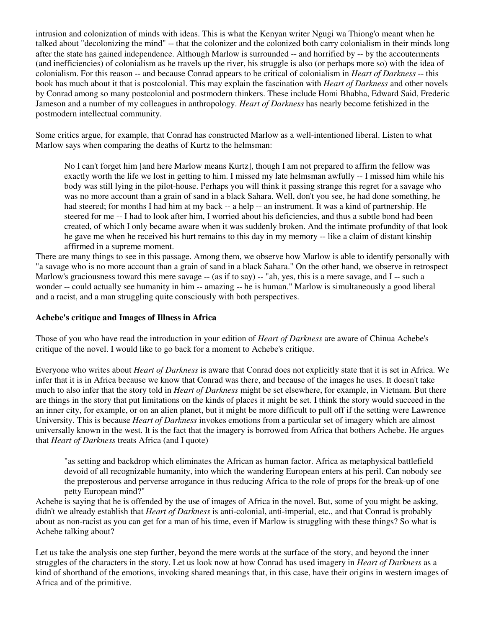intrusion and colonization of minds with ideas. This is what the Kenyan writer Ngugi wa Thiong'o meant when he talked about "decolonizing the mind" -- that the colonizer and the colonized both carry colonialism in their minds long after the state has gained independence. Although Marlow is surrounded -- and horrified by -- by the accouterments (and inefficiencies) of colonialism as he travels up the river, his struggle is also (or perhaps more so) with the idea of colonialism. For this reason -- and because Conrad appears to be critical of colonialism in *Heart of Darkness* -- this book has much about it that is postcolonial. This may explain the fascination with *Heart of Darkness* and other novels by Conrad among so many postcolonial and postmodern thinkers. These include Homi Bhabha, Edward Said, Frederic Jameson and a number of my colleagues in anthropology. *Heart of Darkness* has nearly become fetishized in the postmodern intellectual community.

Some critics argue, for example, that Conrad has constructed Marlow as a well-intentioned liberal. Listen to what Marlow says when comparing the deaths of Kurtz to the helmsman:

No I can't forget him [and here Marlow means Kurtz], though I am not prepared to affirm the fellow was exactly worth the life we lost in getting to him. I missed my late helmsman awfully -- I missed him while his body was still lying in the pilot-house. Perhaps you will think it passing strange this regret for a savage who was no more account than a grain of sand in a black Sahara. Well, don't you see, he had done something, he had steered; for months I had him at my back -- a help -- an instrument. It was a kind of partnership. He steered for me -- I had to look after him, I worried about his deficiencies, and thus a subtle bond had been created, of which I only became aware when it was suddenly broken. And the intimate profundity of that look he gave me when he received his hurt remains to this day in my memory -- like a claim of distant kinship affirmed in a supreme moment.

There are many things to see in this passage. Among them, we observe how Marlow is able to identify personally with "a savage who is no more account than a grain of sand in a black Sahara." On the other hand, we observe in retrospect Marlow's graciousness toward this mere savage -- (as if to say) -- "ah, yes, this is a mere savage, and I -- such a wonder -- could actually see humanity in him -- amazing -- he is human." Marlow is simultaneously a good liberal and a racist, and a man struggling quite consciously with both perspectives.

## **Achebe's critique and Images of Illness in Africa**

Those of you who have read the introduction in your edition of *Heart of Darkness* are aware of Chinua Achebe's critique of the novel. I would like to go back for a moment to Achebe's critique.

Everyone who writes about *Heart of Darkness* is aware that Conrad does not explicitly state that it is set in Africa. We infer that it is in Africa because we know that Conrad was there, and because of the images he uses. It doesn't take much to also infer that the story told in *Heart of Darkness* might be set elsewhere, for example, in Vietnam. But there are things in the story that put limitations on the kinds of places it might be set. I think the story would succeed in the an inner city, for example, or on an alien planet, but it might be more difficult to pull off if the setting were Lawrence University. This is because *Heart of Darkness* invokes emotions from a particular set of imagery which are almost universally known in the west. It is the fact that the imagery is borrowed from Africa that bothers Achebe. He argues that *Heart of Darkness* treats Africa (and I quote)

"as setting and backdrop which eliminates the African as human factor. Africa as metaphysical battlefield devoid of all recognizable humanity, into which the wandering European enters at his peril. Can nobody see the preposterous and perverse arrogance in thus reducing Africa to the role of props for the break-up of one petty European mind?"

Achebe is saying that he is offended by the use of images of Africa in the novel. But, some of you might be asking, didn't we already establish that *Heart of Darkness* is anti-colonial, anti-imperial, etc., and that Conrad is probably about as non-racist as you can get for a man of his time, even if Marlow is struggling with these things? So what is Achebe talking about?

Let us take the analysis one step further, beyond the mere words at the surface of the story, and beyond the inner struggles of the characters in the story. Let us look now at how Conrad has used imagery in *Heart of Darkness* as a kind of shorthand of the emotions, invoking shared meanings that, in this case, have their origins in western images of Africa and of the primitive.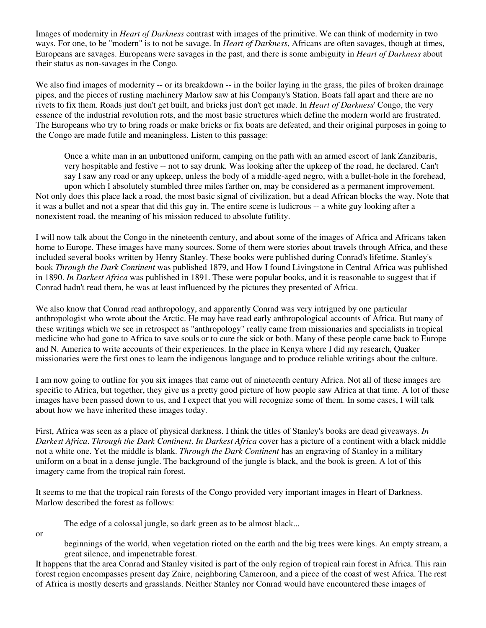Images of modernity in *Heart of Darkness* contrast with images of the primitive. We can think of modernity in two ways. For one, to be "modern" is to not be savage. In *Heart of Darkness*, Africans are often savages, though at times, Europeans are savages. Europeans were savages in the past, and there is some ambiguity in *Heart of Darkness* about their status as non-savages in the Congo.

We also find images of modernity -- or its breakdown -- in the boiler laying in the grass, the piles of broken drainage pipes, and the pieces of rusting machinery Marlow saw at his Company's Station. Boats fall apart and there are no rivets to fix them. Roads just don't get built, and bricks just don't get made. In *Heart of Darkness*' Congo, the very essence of the industrial revolution rots, and the most basic structures which define the modern world are frustrated. The Europeans who try to bring roads or make bricks or fix boats are defeated, and their original purposes in going to the Congo are made futile and meaningless. Listen to this passage:

Once a white man in an unbuttoned uniform, camping on the path with an armed escort of lank Zanzibaris, very hospitable and festive -- not to say drunk. Was looking after the upkeep of the road, he declared. Can't say I saw any road or any upkeep, unless the body of a middle-aged negro, with a bullet-hole in the forehead, upon which I absolutely stumbled three miles farther on, may be considered as a permanent improvement. Not only does this place lack a road, the most basic signal of civilization, but a dead African blocks the way. Note that it was a bullet and not a spear that did this guy in. The entire scene is ludicrous -- a white guy looking after a nonexistent road, the meaning of his mission reduced to absolute futility.

I will now talk about the Congo in the nineteenth century, and about some of the images of Africa and Africans taken home to Europe. These images have many sources. Some of them were stories about travels through Africa, and these included several books written by Henry Stanley. These books were published during Conrad's lifetime. Stanley's book *Through the Dark Continent* was published 1879, and How I found Livingstone in Central Africa was published in 1890. *In Darkest Africa* was published in 1891. These were popular books, and it is reasonable to suggest that if Conrad hadn't read them, he was at least influenced by the pictures they presented of Africa.

We also know that Conrad read anthropology, and apparently Conrad was very intrigued by one particular anthropologist who wrote about the Arctic. He may have read early anthropological accounts of Africa. But many of these writings which we see in retrospect as "anthropology" really came from missionaries and specialists in tropical medicine who had gone to Africa to save souls or to cure the sick or both. Many of these people came back to Europe and N. America to write accounts of their experiences. In the place in Kenya where I did my research, Quaker missionaries were the first ones to learn the indigenous language and to produce reliable writings about the culture.

I am now going to outline for you six images that came out of nineteenth century Africa. Not all of these images are specific to Africa, but together, they give us a pretty good picture of how people saw Africa at that time. A lot of these images have been passed down to us, and I expect that you will recognize some of them. In some cases, I will talk about how we have inherited these images today.

First, Africa was seen as a place of physical darkness. I think the titles of Stanley's books are dead giveaways. *In Darkest Africa*. *Through the Dark Continent*. *In Darkest Africa* cover has a picture of a continent with a black middle not a white one. Yet the middle is blank. *Through the Dark Continent* has an engraving of Stanley in a military uniform on a boat in a dense jungle. The background of the jungle is black, and the book is green. A lot of this imagery came from the tropical rain forest.

It seems to me that the tropical rain forests of the Congo provided very important images in Heart of Darkness. Marlow described the forest as follows:

The edge of a colossal jungle, so dark green as to be almost black...

or

beginnings of the world, when vegetation rioted on the earth and the big trees were kings. An empty stream, a great silence, and impenetrable forest.

It happens that the area Conrad and Stanley visited is part of the only region of tropical rain forest in Africa. This rain forest region encompasses present day Zaire, neighboring Cameroon, and a piece of the coast of west Africa. The rest of Africa is mostly deserts and grasslands. Neither Stanley nor Conrad would have encountered these images of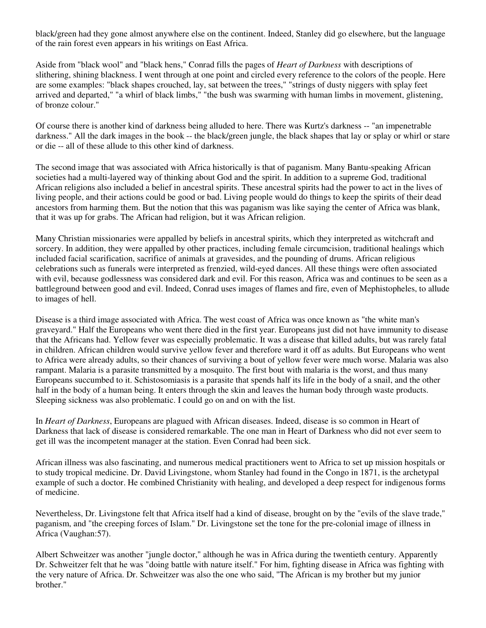black/green had they gone almost anywhere else on the continent. Indeed, Stanley did go elsewhere, but the language of the rain forest even appears in his writings on East Africa.

Aside from "black wool" and "black hens," Conrad fills the pages of *Heart of Darkness* with descriptions of slithering, shining blackness. I went through at one point and circled every reference to the colors of the people. Here are some examples: "black shapes crouched, lay, sat between the trees," "strings of dusty niggers with splay feet arrived and departed," "a whirl of black limbs," "the bush was swarming with human limbs in movement, glistening, of bronze colour."

Of course there is another kind of darkness being alluded to here. There was Kurtz's darkness -- "an impenetrable darkness." All the dark images in the book -- the black/green jungle, the black shapes that lay or splay or whirl or stare or die -- all of these allude to this other kind of darkness.

The second image that was associated with Africa historically is that of paganism. Many Bantu-speaking African societies had a multi-layered way of thinking about God and the spirit. In addition to a supreme God, traditional African religions also included a belief in ancestral spirits. These ancestral spirits had the power to act in the lives of living people, and their actions could be good or bad. Living people would do things to keep the spirits of their dead ancestors from harming them. But the notion that this was paganism was like saying the center of Africa was blank, that it was up for grabs. The African had religion, but it was African religion.

Many Christian missionaries were appalled by beliefs in ancestral spirits, which they interpreted as witchcraft and sorcery. In addition, they were appalled by other practices, including female circumcision, traditional healings which included facial scarification, sacrifice of animals at gravesides, and the pounding of drums. African religious celebrations such as funerals were interpreted as frenzied, wild-eyed dances. All these things were often associated with evil, because godlessness was considered dark and evil. For this reason, Africa was and continues to be seen as a battleground between good and evil. Indeed, Conrad uses images of flames and fire, even of Mephistopheles, to allude to images of hell.

Disease is a third image associated with Africa. The west coast of Africa was once known as "the white man's graveyard." Half the Europeans who went there died in the first year. Europeans just did not have immunity to disease that the Africans had. Yellow fever was especially problematic. It was a disease that killed adults, but was rarely fatal in children. African children would survive yellow fever and therefore ward it off as adults. But Europeans who went to Africa were already adults, so their chances of surviving a bout of yellow fever were much worse. Malaria was also rampant. Malaria is a parasite transmitted by a mosquito. The first bout with malaria is the worst, and thus many Europeans succumbed to it. Schistosomiasis is a parasite that spends half its life in the body of a snail, and the other half in the body of a human being. It enters through the skin and leaves the human body through waste products. Sleeping sickness was also problematic. I could go on and on with the list.

In *Heart of Darkness*, Europeans are plagued with African diseases. Indeed, disease is so common in Heart of Darkness that lack of disease is considered remarkable. The one man in Heart of Darkness who did not ever seem to get ill was the incompetent manager at the station. Even Conrad had been sick.

African illness was also fascinating, and numerous medical practitioners went to Africa to set up mission hospitals or to study tropical medicine. Dr. David Livingstone, whom Stanley had found in the Congo in 1871, is the archetypal example of such a doctor. He combined Christianity with healing, and developed a deep respect for indigenous forms of medicine.

Nevertheless, Dr. Livingstone felt that Africa itself had a kind of disease, brought on by the "evils of the slave trade," paganism, and "the creeping forces of Islam." Dr. Livingstone set the tone for the pre-colonial image of illness in Africa (Vaughan:57).

Albert Schweitzer was another "jungle doctor," although he was in Africa during the twentieth century. Apparently Dr. Schweitzer felt that he was "doing battle with nature itself." For him, fighting disease in Africa was fighting with the very nature of Africa. Dr. Schweitzer was also the one who said, "The African is my brother but my junior brother."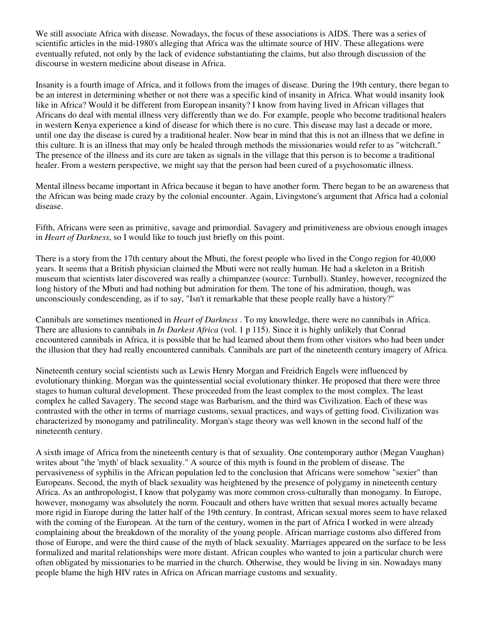We still associate Africa with disease. Nowadays, the focus of these associations is AIDS. There was a series of scientific articles in the mid-1980's alleging that Africa was the ultimate source of HIV. These allegations were eventually refuted, not only by the lack of evidence substantiating the claims, but also through discussion of the discourse in western medicine about disease in Africa.

Insanity is a fourth image of Africa, and it follows from the images of disease. During the 19th century, there began to be an interest in determining whether or not there was a specific kind of insanity in Africa. What would insanity look like in Africa? Would it be different from European insanity? I know from having lived in African villages that Africans do deal with mental illness very differently than we do. For example, people who become traditional healers in western Kenya experience a kind of disease for which there is no cure. This disease may last a decade or more, until one day the disease is cured by a traditional healer. Now bear in mind that this is not an illness that we define in this culture. It is an illness that may only be healed through methods the missionaries would refer to as "witchcraft." The presence of the illness and its cure are taken as signals in the village that this person is to become a traditional healer. From a western perspective, we might say that the person had been cured of a psychosomatic illness.

Mental illness became important in Africa because it began to have another form. There began to be an awareness that the African was being made crazy by the colonial encounter. Again, Livingstone's argument that Africa had a colonial disease.

Fifth, Africans were seen as primitive, savage and primordial. Savagery and primitiveness are obvious enough images in *Heart of Darkness*, so I would like to touch just briefly on this point.

There is a story from the 17th century about the Mbuti, the forest people who lived in the Congo region for 40,000 years. It seems that a British physician claimed the Mbuti were not really human. He had a skeleton in a British museum that scientists later discovered was really a chimpanzee (source: Turnbull). Stanley, however, recognized the long history of the Mbuti and had nothing but admiration for them. The tone of his admiration, though, was unconsciously condescending, as if to say, "Isn't it remarkable that these people really have a history?"

Cannibals are sometimes mentioned in *Heart of Darkness* . To my knowledge, there were no cannibals in Africa. There are allusions to cannibals in *In Darkest Africa* (vol. 1 p 115). Since it is highly unlikely that Conrad encountered cannibals in Africa, it is possible that he had learned about them from other visitors who had been under the illusion that they had really encountered cannibals. Cannibals are part of the nineteenth century imagery of Africa.

Nineteenth century social scientists such as Lewis Henry Morgan and Freidrich Engels were influenced by evolutionary thinking. Morgan was the quintessential social evolutionary thinker. He proposed that there were three stages to human cultural development. These proceeded from the least complex to the most complex. The least complex he called Savagery. The second stage was Barbarism, and the third was Civilization. Each of these was contrasted with the other in terms of marriage customs, sexual practices, and ways of getting food. Civilization was characterized by monogamy and patrilineality. Morgan's stage theory was well known in the second half of the nineteenth century.

A sixth image of Africa from the nineteenth century is that of sexuality. One contemporary author (Megan Vaughan) writes about "the 'myth' of black sexuality." A source of this myth is found in the problem of disease. The pervasiveness of syphilis in the African population led to the conclusion that Africans were somehow "sexier" than Europeans. Second, the myth of black sexuality was heightened by the presence of polygamy in nineteenth century Africa. As an anthropologist, I know that polygamy was more common cross-culturally than monogamy. In Europe, however, monogamy was absolutely the norm. Foucault and others have written that sexual mores actually became more rigid in Europe during the latter half of the 19th century. In contrast, African sexual mores seem to have relaxed with the coming of the European. At the turn of the century, women in the part of Africa I worked in were already complaining about the breakdown of the morality of the young people. African marriage customs also differed from those of Europe, and were the third cause of the myth of black sexuality. Marriages appeared on the surface to be less formalized and marital relationships were more distant. African couples who wanted to join a particular church were often obligated by missionaries to be married in the church. Otherwise, they would be living in sin. Nowadays many people blame the high HIV rates in Africa on African marriage customs and sexuality.